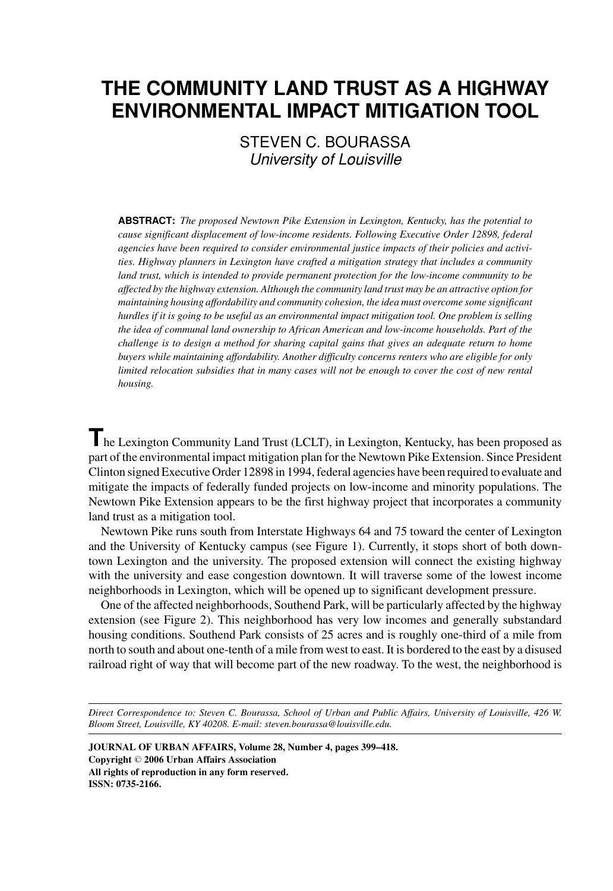# **THE COMMUNITY LAND TRUST AS A HIGHWAY ENVIRONMENTAL IMPACT MITIGATION TOOL**

## STEVEN C. BOURASSA *University of Louisville*

**ABSTRACT:** *The proposed Newtown Pike Extension in Lexington, Kentucky, has the potential to cause significant displacement of low-income residents. Following Executive Order 12898, federal agencies have been required to consider environmental justice impacts of their policies and activities. Highway planners in Lexington have crafted a mitigation strategy that includes a community land trust, which is intended to provide permanent protection for the low-income community to be affected by the highway extension. Although the community land trust may be an attractive option for maintaining housing affordability and community cohesion, the idea must overcome some significant hurdles if it is going to be useful as an environmental impact mitigation tool. One problem is selling the idea of communal land ownership to African American and low-income households. Part of the challenge is to design a method for sharing capital gains that gives an adequate return to home buyers while maintaining affordability. Another difficulty concerns renters who are eligible for only limited relocation subsidies that in many cases will not be enough to cover the cost of new rental housing.*

**T**he Lexington Community Land Trust (LCLT), in Lexington, Kentucky, has been proposed as part of the environmental impact mitigation plan for the Newtown Pike Extension. Since President Clinton signed Executive Order 12898 in 1994, federal agencies have been required to evaluate and mitigate the impacts of federally funded projects on low-income and minority populations. The Newtown Pike Extension appears to be the first highway project that incorporates a community land trust as a mitigation tool.

Newtown Pike runs south from Interstate Highways 64 and 75 toward the center of Lexington and the University of Kentucky campus (see Figure 1). Currently, it stops short of both downtown Lexington and the university. The proposed extension will connect the existing highway with the university and ease congestion downtown. It will traverse some of the lowest income neighborhoods in Lexington, which will be opened up to significant development pressure.

One of the affected neighborhoods, Southend Park, will be particularly affected by the highway extension (see Figure 2). This neighborhood has very low incomes and generally substandard housing conditions. Southend Park consists of 25 acres and is roughly one-third of a mile from north to south and about one-tenth of a mile from west to east. It is bordered to the east by a disused railroad right of way that will become part of the new roadway. To the west, the neighborhood is

*Direct Correspondence to: Steven C. Bourassa, School of Urban and Public Affairs, University of Louisville, 426 W. Bloom Street, Louisville, KY 40208. E-mail: steven.bourassa@louisville.edu.*

**JOURNAL OF URBAN AFFAIRS, Volume 28, Number 4, pages 399–418. Copyright** -**<sup>C</sup> 2006 Urban Affairs Association All rights of reproduction in any form reserved. ISSN: 0735-2166.**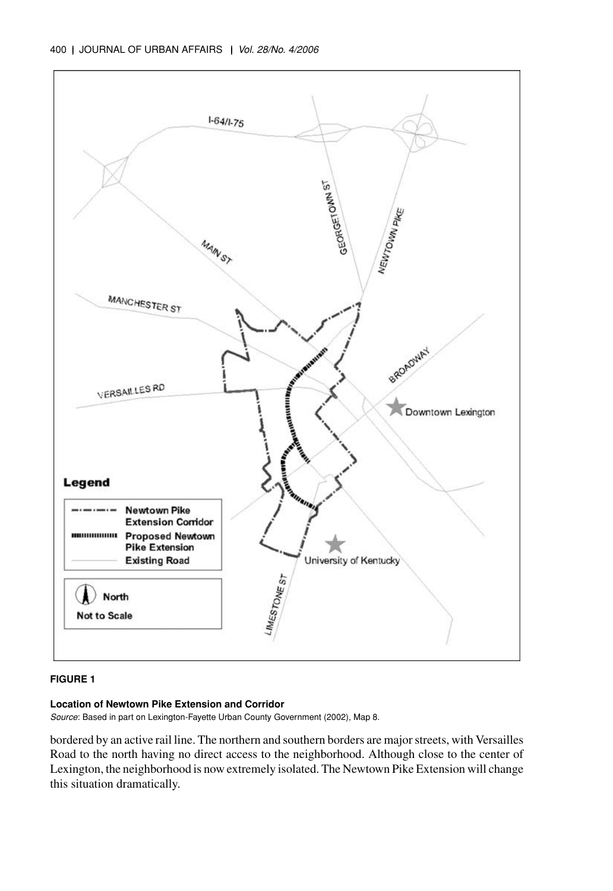

#### **FIGURE 1**

#### **Location of Newtown Pike Extension and Corridor**

*Source*: Based in part on Lexington-Fayette Urban County Government (2002), Map 8.

bordered by an active rail line. The northern and southern borders are major streets, with Versailles Road to the north having no direct access to the neighborhood. Although close to the center of Lexington, the neighborhood is now extremely isolated. The Newtown Pike Extension will change this situation dramatically.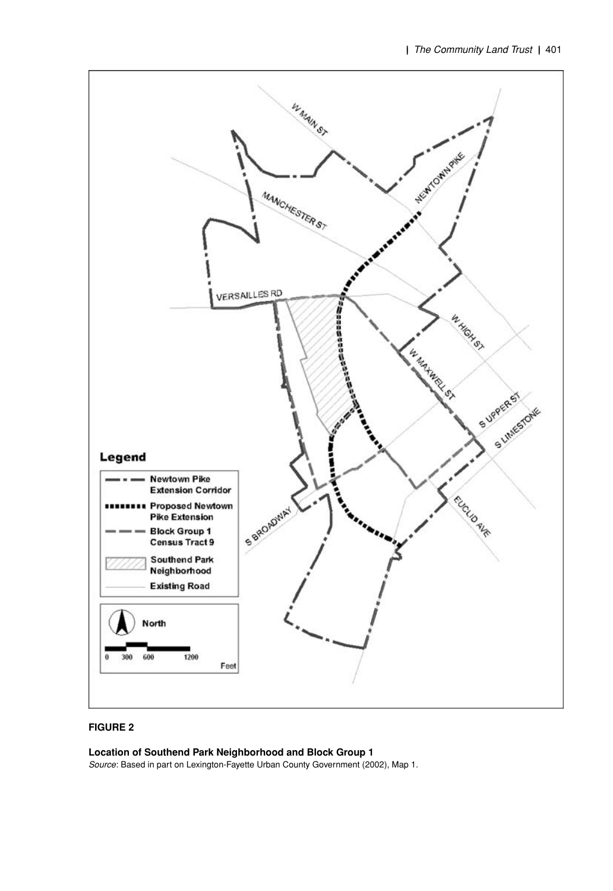

#### **FIGURE 2**

**Location of Southend Park Neighborhood and Block Group 1** *Source*: Based in part on Lexington-Fayette Urban County Government (2002), Map 1.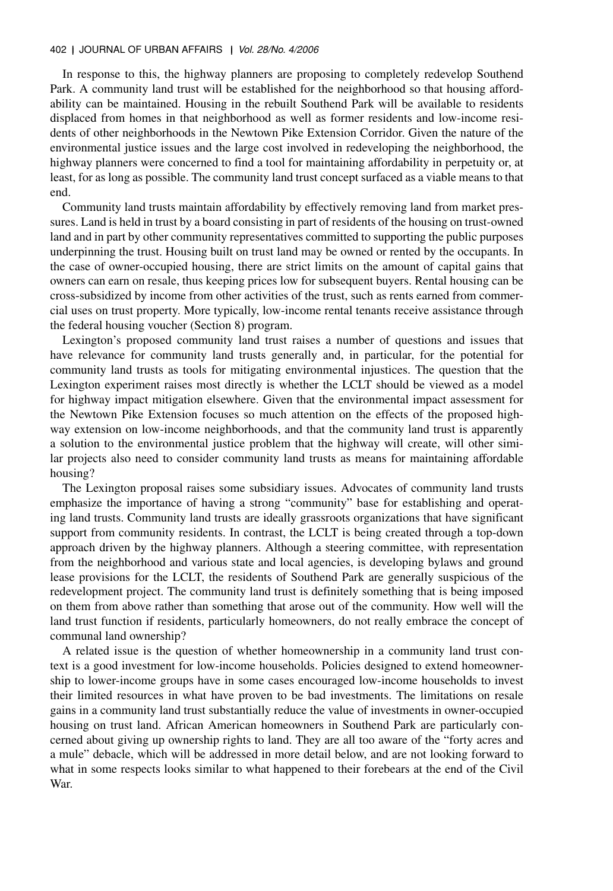In response to this, the highway planners are proposing to completely redevelop Southend Park. A community land trust will be established for the neighborhood so that housing affordability can be maintained. Housing in the rebuilt Southend Park will be available to residents displaced from homes in that neighborhood as well as former residents and low-income residents of other neighborhoods in the Newtown Pike Extension Corridor. Given the nature of the environmental justice issues and the large cost involved in redeveloping the neighborhood, the highway planners were concerned to find a tool for maintaining affordability in perpetuity or, at least, for as long as possible. The community land trust concept surfaced as a viable means to that end.

Community land trusts maintain affordability by effectively removing land from market pressures. Land is held in trust by a board consisting in part of residents of the housing on trust-owned land and in part by other community representatives committed to supporting the public purposes underpinning the trust. Housing built on trust land may be owned or rented by the occupants. In the case of owner-occupied housing, there are strict limits on the amount of capital gains that owners can earn on resale, thus keeping prices low for subsequent buyers. Rental housing can be cross-subsidized by income from other activities of the trust, such as rents earned from commercial uses on trust property. More typically, low-income rental tenants receive assistance through the federal housing voucher (Section 8) program.

Lexington's proposed community land trust raises a number of questions and issues that have relevance for community land trusts generally and, in particular, for the potential for community land trusts as tools for mitigating environmental injustices. The question that the Lexington experiment raises most directly is whether the LCLT should be viewed as a model for highway impact mitigation elsewhere. Given that the environmental impact assessment for the Newtown Pike Extension focuses so much attention on the effects of the proposed highway extension on low-income neighborhoods, and that the community land trust is apparently a solution to the environmental justice problem that the highway will create, will other similar projects also need to consider community land trusts as means for maintaining affordable housing?

The Lexington proposal raises some subsidiary issues. Advocates of community land trusts emphasize the importance of having a strong "community" base for establishing and operating land trusts. Community land trusts are ideally grassroots organizations that have significant support from community residents. In contrast, the LCLT is being created through a top-down approach driven by the highway planners. Although a steering committee, with representation from the neighborhood and various state and local agencies, is developing bylaws and ground lease provisions for the LCLT, the residents of Southend Park are generally suspicious of the redevelopment project. The community land trust is definitely something that is being imposed on them from above rather than something that arose out of the community. How well will the land trust function if residents, particularly homeowners, do not really embrace the concept of communal land ownership?

A related issue is the question of whether homeownership in a community land trust context is a good investment for low-income households. Policies designed to extend homeownership to lower-income groups have in some cases encouraged low-income households to invest their limited resources in what have proven to be bad investments. The limitations on resale gains in a community land trust substantially reduce the value of investments in owner-occupied housing on trust land. African American homeowners in Southend Park are particularly concerned about giving up ownership rights to land. They are all too aware of the "forty acres and a mule" debacle, which will be addressed in more detail below, and are not looking forward to what in some respects looks similar to what happened to their forebears at the end of the Civil War.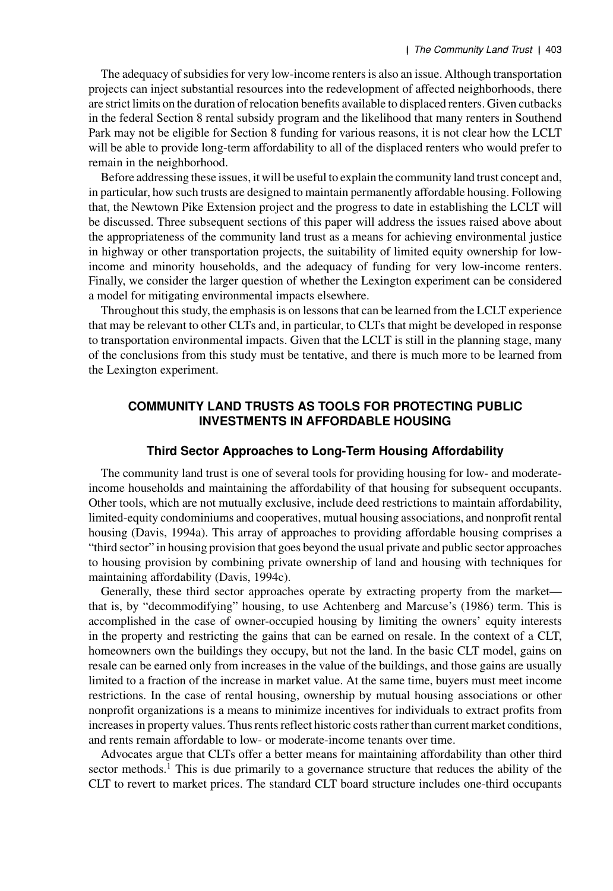The adequacy of subsidies for very low-income renters is also an issue. Although transportation projects can inject substantial resources into the redevelopment of affected neighborhoods, there are strict limits on the duration of relocation benefits available to displaced renters. Given cutbacks in the federal Section 8 rental subsidy program and the likelihood that many renters in Southend Park may not be eligible for Section 8 funding for various reasons, it is not clear how the LCLT will be able to provide long-term affordability to all of the displaced renters who would prefer to remain in the neighborhood.

Before addressing these issues, it will be useful to explain the community land trust concept and, in particular, how such trusts are designed to maintain permanently affordable housing. Following that, the Newtown Pike Extension project and the progress to date in establishing the LCLT will be discussed. Three subsequent sections of this paper will address the issues raised above about the appropriateness of the community land trust as a means for achieving environmental justice in highway or other transportation projects, the suitability of limited equity ownership for lowincome and minority households, and the adequacy of funding for very low-income renters. Finally, we consider the larger question of whether the Lexington experiment can be considered a model for mitigating environmental impacts elsewhere.

Throughout this study, the emphasis is on lessons that can be learned from the LCLT experience that may be relevant to other CLTs and, in particular, to CLTs that might be developed in response to transportation environmental impacts. Given that the LCLT is still in the planning stage, many of the conclusions from this study must be tentative, and there is much more to be learned from the Lexington experiment.

## **COMMUNITY LAND TRUSTS AS TOOLS FOR PROTECTING PUBLIC INVESTMENTS IN AFFORDABLE HOUSING**

#### **Third Sector Approaches to Long-Term Housing Affordability**

The community land trust is one of several tools for providing housing for low- and moderateincome households and maintaining the affordability of that housing for subsequent occupants. Other tools, which are not mutually exclusive, include deed restrictions to maintain affordability, limited-equity condominiums and cooperatives, mutual housing associations, and nonprofit rental housing (Davis, 1994a). This array of approaches to providing affordable housing comprises a "third sector" in housing provision that goes beyond the usual private and public sector approaches to housing provision by combining private ownership of land and housing with techniques for maintaining affordability (Davis, 1994c).

Generally, these third sector approaches operate by extracting property from the market that is, by "decommodifying" housing, to use Achtenberg and Marcuse's (1986) term. This is accomplished in the case of owner-occupied housing by limiting the owners' equity interests in the property and restricting the gains that can be earned on resale. In the context of a CLT, homeowners own the buildings they occupy, but not the land. In the basic CLT model, gains on resale can be earned only from increases in the value of the buildings, and those gains are usually limited to a fraction of the increase in market value. At the same time, buyers must meet income restrictions. In the case of rental housing, ownership by mutual housing associations or other nonprofit organizations is a means to minimize incentives for individuals to extract profits from increases in property values. Thus rents reflect historic costs rather than current market conditions, and rents remain affordable to low- or moderate-income tenants over time.

Advocates argue that CLTs offer a better means for maintaining affordability than other third sector methods.<sup>1</sup> This is due primarily to a governance structure that reduces the ability of the CLT to revert to market prices. The standard CLT board structure includes one-third occupants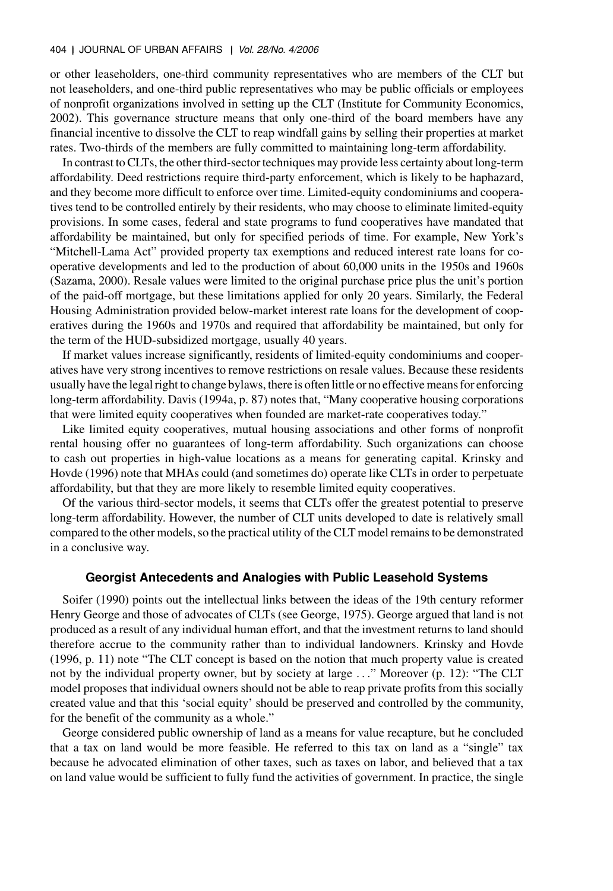or other leaseholders, one-third community representatives who are members of the CLT but not leaseholders, and one-third public representatives who may be public officials or employees of nonprofit organizations involved in setting up the CLT (Institute for Community Economics, 2002). This governance structure means that only one-third of the board members have any financial incentive to dissolve the CLT to reap windfall gains by selling their properties at market rates. Two-thirds of the members are fully committed to maintaining long-term affordability.

In contrast to CLTs, the other third-sector techniques may provide less certainty about long-term affordability. Deed restrictions require third-party enforcement, which is likely to be haphazard, and they become more difficult to enforce over time. Limited-equity condominiums and cooperatives tend to be controlled entirely by their residents, who may choose to eliminate limited-equity provisions. In some cases, federal and state programs to fund cooperatives have mandated that affordability be maintained, but only for specified periods of time. For example, New York's "Mitchell-Lama Act" provided property tax exemptions and reduced interest rate loans for cooperative developments and led to the production of about 60,000 units in the 1950s and 1960s (Sazama, 2000). Resale values were limited to the original purchase price plus the unit's portion of the paid-off mortgage, but these limitations applied for only 20 years. Similarly, the Federal Housing Administration provided below-market interest rate loans for the development of cooperatives during the 1960s and 1970s and required that affordability be maintained, but only for the term of the HUD-subsidized mortgage, usually 40 years.

If market values increase significantly, residents of limited-equity condominiums and cooperatives have very strong incentives to remove restrictions on resale values. Because these residents usually have the legal right to change bylaws, there is often little or no effective means for enforcing long-term affordability. Davis (1994a, p. 87) notes that, "Many cooperative housing corporations that were limited equity cooperatives when founded are market-rate cooperatives today."

Like limited equity cooperatives, mutual housing associations and other forms of nonprofit rental housing offer no guarantees of long-term affordability. Such organizations can choose to cash out properties in high-value locations as a means for generating capital. Krinsky and Hovde (1996) note that MHAs could (and sometimes do) operate like CLTs in order to perpetuate affordability, but that they are more likely to resemble limited equity cooperatives.

Of the various third-sector models, it seems that CLTs offer the greatest potential to preserve long-term affordability. However, the number of CLT units developed to date is relatively small compared to the other models, so the practical utility of the CLT model remains to be demonstrated in a conclusive way.

#### **Georgist Antecedents and Analogies with Public Leasehold Systems**

Soifer (1990) points out the intellectual links between the ideas of the 19th century reformer Henry George and those of advocates of CLTs (see George, 1975). George argued that land is not produced as a result of any individual human effort, and that the investment returns to land should therefore accrue to the community rather than to individual landowners. Krinsky and Hovde (1996, p. 11) note "The CLT concept is based on the notion that much property value is created not by the individual property owner, but by society at large ..." Moreover (p. 12): "The CLT model proposes that individual owners should not be able to reap private profits from this socially created value and that this 'social equity' should be preserved and controlled by the community, for the benefit of the community as a whole."

George considered public ownership of land as a means for value recapture, but he concluded that a tax on land would be more feasible. He referred to this tax on land as a "single" tax because he advocated elimination of other taxes, such as taxes on labor, and believed that a tax on land value would be sufficient to fully fund the activities of government. In practice, the single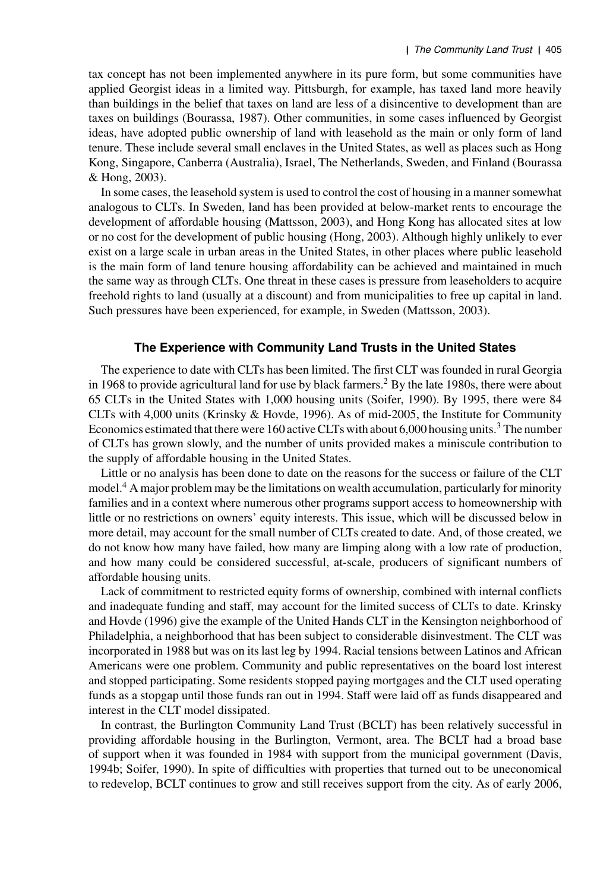tax concept has not been implemented anywhere in its pure form, but some communities have applied Georgist ideas in a limited way. Pittsburgh, for example, has taxed land more heavily than buildings in the belief that taxes on land are less of a disincentive to development than are taxes on buildings (Bourassa, 1987). Other communities, in some cases influenced by Georgist ideas, have adopted public ownership of land with leasehold as the main or only form of land tenure. These include several small enclaves in the United States, as well as places such as Hong Kong, Singapore, Canberra (Australia), Israel, The Netherlands, Sweden, and Finland (Bourassa & Hong, 2003).

In some cases, the leasehold system is used to control the cost of housing in a manner somewhat analogous to CLTs. In Sweden, land has been provided at below-market rents to encourage the development of affordable housing (Mattsson, 2003), and Hong Kong has allocated sites at low or no cost for the development of public housing (Hong, 2003). Although highly unlikely to ever exist on a large scale in urban areas in the United States, in other places where public leasehold is the main form of land tenure housing affordability can be achieved and maintained in much the same way as through CLTs. One threat in these cases is pressure from leaseholders to acquire freehold rights to land (usually at a discount) and from municipalities to free up capital in land. Such pressures have been experienced, for example, in Sweden (Mattsson, 2003).

#### **The Experience with Community Land Trusts in the United States**

The experience to date with CLTs has been limited. The first CLT was founded in rural Georgia in 1968 to provide agricultural land for use by black farmers.<sup>2</sup> By the late 1980s, there were about 65 CLTs in the United States with 1,000 housing units (Soifer, 1990). By 1995, there were 84 CLTs with 4,000 units (Krinsky & Hovde, 1996). As of mid-2005, the Institute for Community Economics estimated that there were 160 active CLTs with about 6,000 housing units.<sup>3</sup> The number of CLTs has grown slowly, and the number of units provided makes a miniscule contribution to the supply of affordable housing in the United States.

Little or no analysis has been done to date on the reasons for the success or failure of the CLT model.4 A major problem may be the limitations on wealth accumulation, particularly for minority families and in a context where numerous other programs support access to homeownership with little or no restrictions on owners' equity interests. This issue, which will be discussed below in more detail, may account for the small number of CLTs created to date. And, of those created, we do not know how many have failed, how many are limping along with a low rate of production, and how many could be considered successful, at-scale, producers of significant numbers of affordable housing units.

Lack of commitment to restricted equity forms of ownership, combined with internal conflicts and inadequate funding and staff, may account for the limited success of CLTs to date. Krinsky and Hovde (1996) give the example of the United Hands CLT in the Kensington neighborhood of Philadelphia, a neighborhood that has been subject to considerable disinvestment. The CLT was incorporated in 1988 but was on its last leg by 1994. Racial tensions between Latinos and African Americans were one problem. Community and public representatives on the board lost interest and stopped participating. Some residents stopped paying mortgages and the CLT used operating funds as a stopgap until those funds ran out in 1994. Staff were laid off as funds disappeared and interest in the CLT model dissipated.

In contrast, the Burlington Community Land Trust (BCLT) has been relatively successful in providing affordable housing in the Burlington, Vermont, area. The BCLT had a broad base of support when it was founded in 1984 with support from the municipal government (Davis, 1994b; Soifer, 1990). In spite of difficulties with properties that turned out to be uneconomical to redevelop, BCLT continues to grow and still receives support from the city. As of early 2006,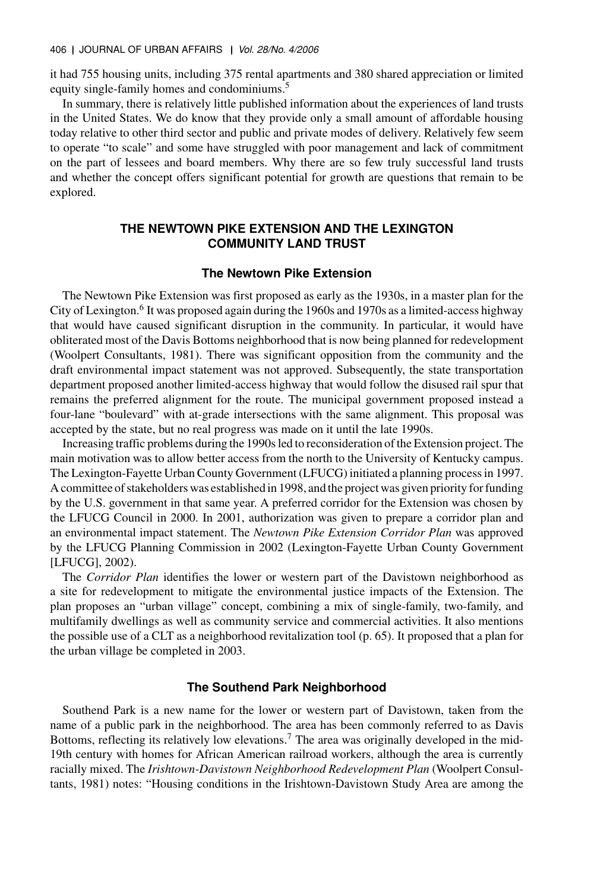it had 755 housing units, including 375 rental apartments and 380 shared appreciation or limited equity single-family homes and condominiums.<sup>5</sup>

In summary, there is relatively little published information about the experiences of land trusts in the United States. We do know that they provide only a small amount of affordable housing today relative to other third sector and public and private modes of delivery. Relatively few seem to operate "to scale" and some have struggled with poor management and lack of commitment on the part of lessees and board members. Why there are so few truly successful land trusts and whether the concept offers significant potential for growth are questions that remain to be explored.

## **THE NEWTOWN PIKE EXTENSION AND THE LEXINGTON COMMUNITY LAND TRUST**

#### **The Newtown Pike Extension**

The Newtown Pike Extension was first proposed as early as the 1930s, in a master plan for the City of Lexington.<sup>6</sup> It was proposed again during the 1960s and 1970s as a limited-access highway that would have caused significant disruption in the community. In particular, it would have obliterated most of the Davis Bottoms neighborhood that is now being planned for redevelopment (Woolpert Consultants, 1981). There was significant opposition from the community and the draft environmental impact statement was not approved. Subsequently, the state transportation department proposed another limited-access highway that would follow the disused rail spur that remains the preferred alignment for the route. The municipal government proposed instead a four-lane "boulevard" with at-grade intersections with the same alignment. This proposal was accepted by the state, but no real progress was made on it until the late 1990s.

Increasing traffic problems during the 1990s led to reconsideration of the Extension project. The main motivation was to allow better access from the north to the University of Kentucky campus. The Lexington-Fayette Urban County Government (LFUCG) initiated a planning process in 1997. A committee of stakeholders was established in 1998, and the project was given priority for funding by the U.S. government in that same year. A preferred corridor for the Extension was chosen by the LFUCG Council in 2000. In 2001, authorization was given to prepare a corridor plan and an environmental impact statement. The *Newtown Pike Extension Corridor Plan* was approved by the LFUCG Planning Commission in 2002 (Lexington-Fayette Urban County Government [LFUCG], 2002).

The *Corridor Plan* identifies the lower or western part of the Davistown neighborhood as a site for redevelopment to mitigate the environmental justice impacts of the Extension. The plan proposes an "urban village" concept, combining a mix of single-family, two-family, and multifamily dwellings as well as community service and commercial activities. It also mentions the possible use of a CLT as a neighborhood revitalization tool (p. 65). It proposed that a plan for the urban village be completed in 2003.

## **The Southend Park Neighborhood**

Southend Park is a new name for the lower or western part of Davistown, taken from the name of a public park in the neighborhood. The area has been commonly referred to as Davis Bottoms, reflecting its relatively low elevations.<sup>7</sup> The area was originally developed in the mid-19th century with homes for African American railroad workers, although the area is currently racially mixed. The *Irishtown-Davistown Neighborhood Redevelopment Plan* (Woolpert Consultants, 1981) notes: "Housing conditions in the Irishtown-Davistown Study Area are among the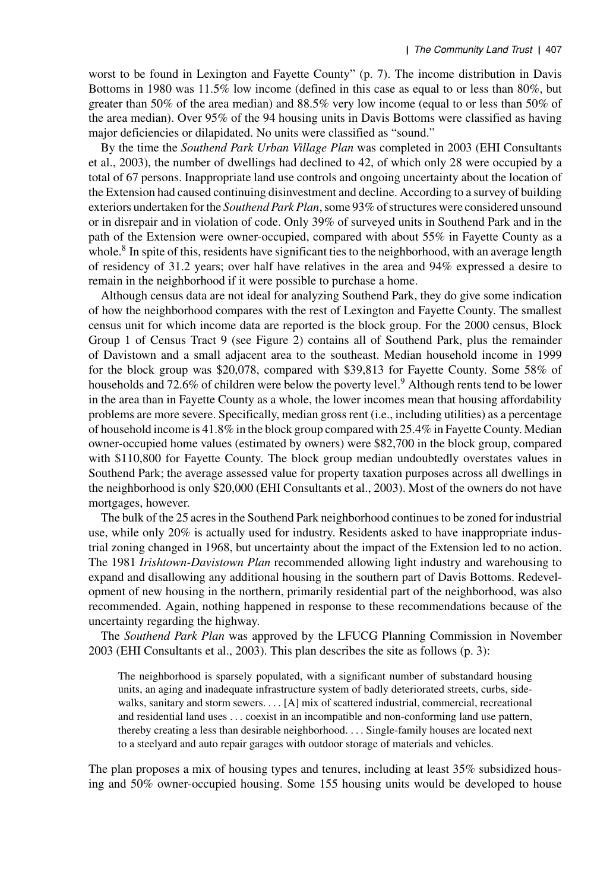worst to be found in Lexington and Fayette County" (p. 7). The income distribution in Davis Bottoms in 1980 was 11.5% low income (defined in this case as equal to or less than 80%, but greater than 50% of the area median) and 88.5% very low income (equal to or less than 50% of the area median). Over 95% of the 94 housing units in Davis Bottoms were classified as having major deficiencies or dilapidated. No units were classified as "sound."

By the time the *Southend Park Urban Village Plan* was completed in 2003 (EHI Consultants et al., 2003), the number of dwellings had declined to 42, of which only 28 were occupied by a total of 67 persons. Inappropriate land use controls and ongoing uncertainty about the location of the Extension had caused continuing disinvestment and decline. According to a survey of building exteriors undertaken for the *Southend Park Plan*, some 93% of structures were considered unsound or in disrepair and in violation of code. Only 39% of surveyed units in Southend Park and in the path of the Extension were owner-occupied, compared with about 55% in Fayette County as a whole.<sup>8</sup> In spite of this, residents have significant ties to the neighborhood, with an average length of residency of 31.2 years; over half have relatives in the area and 94% expressed a desire to remain in the neighborhood if it were possible to purchase a home.

Although census data are not ideal for analyzing Southend Park, they do give some indication of how the neighborhood compares with the rest of Lexington and Fayette County. The smallest census unit for which income data are reported is the block group. For the 2000 census, Block Group 1 of Census Tract 9 (see Figure 2) contains all of Southend Park, plus the remainder of Davistown and a small adjacent area to the southeast. Median household income in 1999 for the block group was \$20,078, compared with \$39,813 for Fayette County. Some 58% of households and 72.6% of children were below the poverty level.<sup>9</sup> Although rents tend to be lower in the area than in Fayette County as a whole, the lower incomes mean that housing affordability problems are more severe. Specifically, median gross rent (i.e., including utilities) as a percentage of household income is 41.8% in the block group compared with 25.4% in Fayette County. Median owner-occupied home values (estimated by owners) were \$82,700 in the block group, compared with \$110,800 for Fayette County. The block group median undoubtedly overstates values in Southend Park; the average assessed value for property taxation purposes across all dwellings in the neighborhood is only \$20,000 (EHI Consultants et al., 2003). Most of the owners do not have mortgages, however.

The bulk of the 25 acres in the Southend Park neighborhood continues to be zoned for industrial use, while only 20% is actually used for industry. Residents asked to have inappropriate industrial zoning changed in 1968, but uncertainty about the impact of the Extension led to no action. The 1981 *Irishtown-Davistown Plan* recommended allowing light industry and warehousing to expand and disallowing any additional housing in the southern part of Davis Bottoms. Redevelopment of new housing in the northern, primarily residential part of the neighborhood, was also recommended. Again, nothing happened in response to these recommendations because of the uncertainty regarding the highway.

The *Southend Park Plan* was approved by the LFUCG Planning Commission in November 2003 (EHI Consultants et al., 2003). This plan describes the site as follows (p. 3):

The neighborhood is sparsely populated, with a significant number of substandard housing units, an aging and inadequate infrastructure system of badly deteriorated streets, curbs, sidewalks, sanitary and storm sewers. ... [A] mix of scattered industrial, commercial, recreational and residential land uses ... coexist in an incompatible and non-conforming land use pattern, thereby creating a less than desirable neighborhood. ... Single-family houses are located next to a steelyard and auto repair garages with outdoor storage of materials and vehicles.

The plan proposes a mix of housing types and tenures, including at least 35% subsidized housing and 50% owner-occupied housing. Some 155 housing units would be developed to house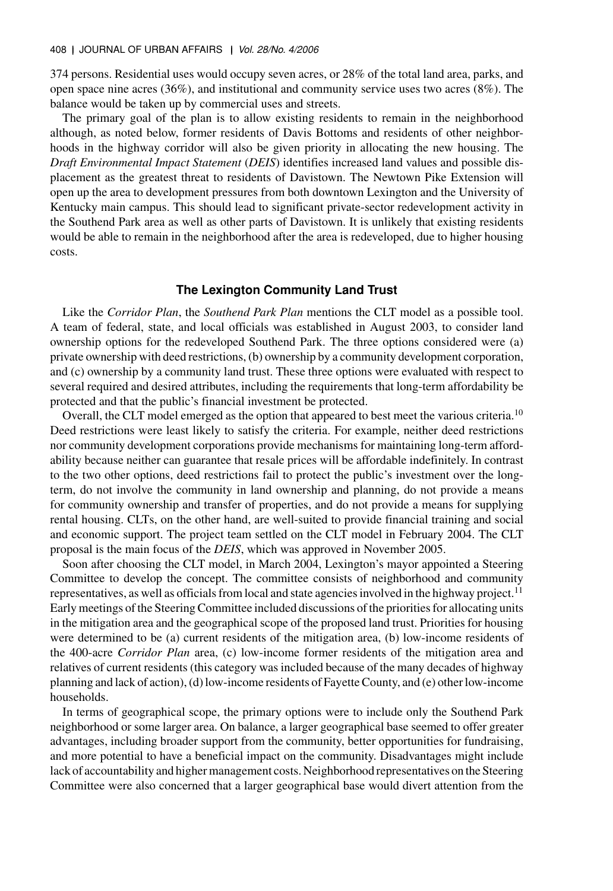374 persons. Residential uses would occupy seven acres, or 28% of the total land area, parks, and open space nine acres (36%), and institutional and community service uses two acres (8%). The balance would be taken up by commercial uses and streets.

The primary goal of the plan is to allow existing residents to remain in the neighborhood although, as noted below, former residents of Davis Bottoms and residents of other neighborhoods in the highway corridor will also be given priority in allocating the new housing. The *Draft Environmental Impact Statement* (*DEIS*) identifies increased land values and possible displacement as the greatest threat to residents of Davistown. The Newtown Pike Extension will open up the area to development pressures from both downtown Lexington and the University of Kentucky main campus. This should lead to significant private-sector redevelopment activity in the Southend Park area as well as other parts of Davistown. It is unlikely that existing residents would be able to remain in the neighborhood after the area is redeveloped, due to higher housing costs.

## **The Lexington Community Land Trust**

Like the *Corridor Plan*, the *Southend Park Plan* mentions the CLT model as a possible tool. A team of federal, state, and local officials was established in August 2003, to consider land ownership options for the redeveloped Southend Park. The three options considered were (a) private ownership with deed restrictions, (b) ownership by a community development corporation, and (c) ownership by a community land trust. These three options were evaluated with respect to several required and desired attributes, including the requirements that long-term affordability be protected and that the public's financial investment be protected.

Overall, the CLT model emerged as the option that appeared to best meet the various criteria.<sup>10</sup> Deed restrictions were least likely to satisfy the criteria. For example, neither deed restrictions nor community development corporations provide mechanisms for maintaining long-term affordability because neither can guarantee that resale prices will be affordable indefinitely. In contrast to the two other options, deed restrictions fail to protect the public's investment over the longterm, do not involve the community in land ownership and planning, do not provide a means for community ownership and transfer of properties, and do not provide a means for supplying rental housing. CLTs, on the other hand, are well-suited to provide financial training and social and economic support. The project team settled on the CLT model in February 2004. The CLT proposal is the main focus of the *DEIS*, which was approved in November 2005.

Soon after choosing the CLT model, in March 2004, Lexington's mayor appointed a Steering Committee to develop the concept. The committee consists of neighborhood and community representatives, as well as officials from local and state agencies involved in the highway project.<sup>11</sup> Early meetings of the Steering Committee included discussions of the priorities for allocating units in the mitigation area and the geographical scope of the proposed land trust. Priorities for housing were determined to be (a) current residents of the mitigation area, (b) low-income residents of the 400-acre *Corridor Plan* area, (c) low-income former residents of the mitigation area and relatives of current residents (this category was included because of the many decades of highway planning and lack of action), (d) low-income residents of Fayette County, and (e) other low-income households.

In terms of geographical scope, the primary options were to include only the Southend Park neighborhood or some larger area. On balance, a larger geographical base seemed to offer greater advantages, including broader support from the community, better opportunities for fundraising, and more potential to have a beneficial impact on the community. Disadvantages might include lack of accountability and higher management costs. Neighborhood representatives on the Steering Committee were also concerned that a larger geographical base would divert attention from the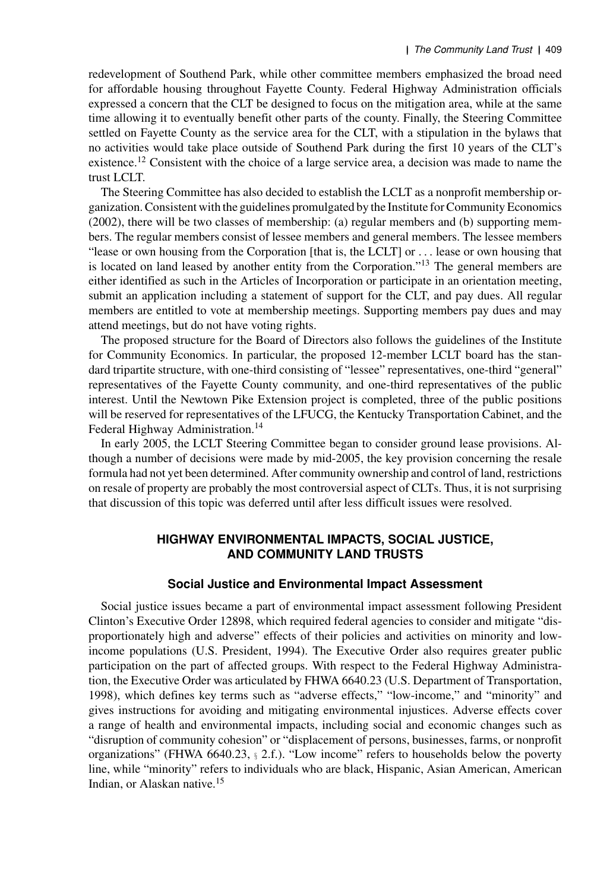redevelopment of Southend Park, while other committee members emphasized the broad need for affordable housing throughout Fayette County. Federal Highway Administration officials expressed a concern that the CLT be designed to focus on the mitigation area, while at the same time allowing it to eventually benefit other parts of the county. Finally, the Steering Committee settled on Fayette County as the service area for the CLT, with a stipulation in the bylaws that no activities would take place outside of Southend Park during the first 10 years of the CLT's existence.<sup>12</sup> Consistent with the choice of a large service area, a decision was made to name the trust LCLT.

The Steering Committee has also decided to establish the LCLT as a nonprofit membership organization. Consistent with the guidelines promulgated by the Institute for Community Economics (2002), there will be two classes of membership: (a) regular members and (b) supporting members. The regular members consist of lessee members and general members. The lessee members "lease or own housing from the Corporation [that is, the LCLT] or ... lease or own housing that is located on land leased by another entity from the Corporation."<sup>13</sup> The general members are either identified as such in the Articles of Incorporation or participate in an orientation meeting, submit an application including a statement of support for the CLT, and pay dues. All regular members are entitled to vote at membership meetings. Supporting members pay dues and may attend meetings, but do not have voting rights.

The proposed structure for the Board of Directors also follows the guidelines of the Institute for Community Economics. In particular, the proposed 12-member LCLT board has the standard tripartite structure, with one-third consisting of "lessee" representatives, one-third "general" representatives of the Fayette County community, and one-third representatives of the public interest. Until the Newtown Pike Extension project is completed, three of the public positions will be reserved for representatives of the LFUCG, the Kentucky Transportation Cabinet, and the Federal Highway Administration.<sup>14</sup>

In early 2005, the LCLT Steering Committee began to consider ground lease provisions. Although a number of decisions were made by mid-2005, the key provision concerning the resale formula had not yet been determined. After community ownership and control of land, restrictions on resale of property are probably the most controversial aspect of CLTs. Thus, it is not surprising that discussion of this topic was deferred until after less difficult issues were resolved.

## **HIGHWAY ENVIRONMENTAL IMPACTS, SOCIAL JUSTICE, AND COMMUNITY LAND TRUSTS**

#### **Social Justice and Environmental Impact Assessment**

Social justice issues became a part of environmental impact assessment following President Clinton's Executive Order 12898, which required federal agencies to consider and mitigate "disproportionately high and adverse" effects of their policies and activities on minority and lowincome populations (U.S. President, 1994). The Executive Order also requires greater public participation on the part of affected groups. With respect to the Federal Highway Administration, the Executive Order was articulated by FHWA 6640.23 (U.S. Department of Transportation, 1998), which defines key terms such as "adverse effects," "low-income," and "minority" and gives instructions for avoiding and mitigating environmental injustices. Adverse effects cover a range of health and environmental impacts, including social and economic changes such as "disruption of community cohesion" or "displacement of persons, businesses, farms, or nonprofit organizations" (FHWA 6640.23,  $\S$  2.f.). "Low income" refers to households below the poverty line, while "minority" refers to individuals who are black, Hispanic, Asian American, American Indian, or Alaskan native.15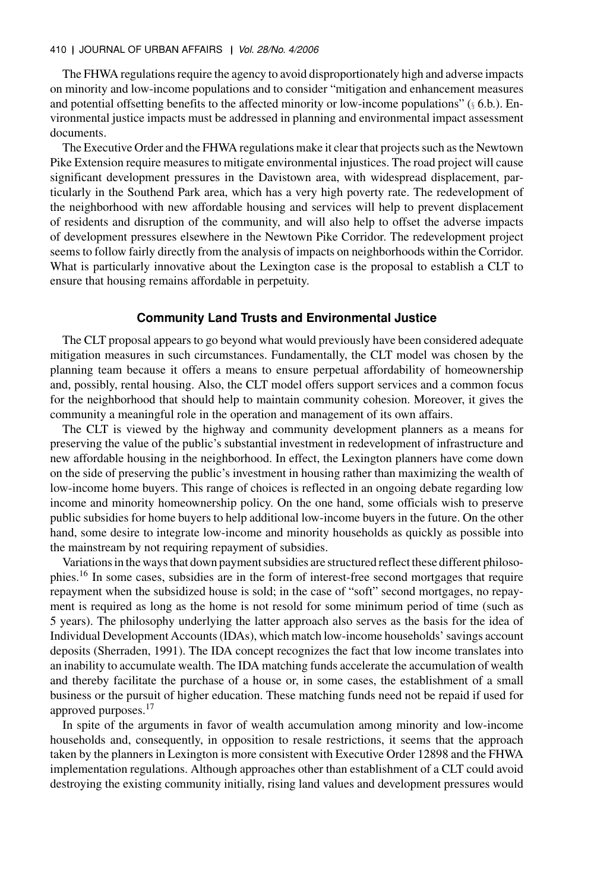The FHWA regulations require the agency to avoid disproportionately high and adverse impacts on minority and low-income populations and to consider "mitigation and enhancement measures and potential offsetting benefits to the affected minority or low-income populations" ( $\S$  6.b.). Environmental justice impacts must be addressed in planning and environmental impact assessment documents.

The Executive Order and the FHWA regulations make it clear that projects such as the Newtown Pike Extension require measures to mitigate environmental injustices. The road project will cause significant development pressures in the Davistown area, with widespread displacement, particularly in the Southend Park area, which has a very high poverty rate. The redevelopment of the neighborhood with new affordable housing and services will help to prevent displacement of residents and disruption of the community, and will also help to offset the adverse impacts of development pressures elsewhere in the Newtown Pike Corridor. The redevelopment project seems to follow fairly directly from the analysis of impacts on neighborhoods within the Corridor. What is particularly innovative about the Lexington case is the proposal to establish a CLT to ensure that housing remains affordable in perpetuity.

#### **Community Land Trusts and Environmental Justice**

The CLT proposal appears to go beyond what would previously have been considered adequate mitigation measures in such circumstances. Fundamentally, the CLT model was chosen by the planning team because it offers a means to ensure perpetual affordability of homeownership and, possibly, rental housing. Also, the CLT model offers support services and a common focus for the neighborhood that should help to maintain community cohesion. Moreover, it gives the community a meaningful role in the operation and management of its own affairs.

The CLT is viewed by the highway and community development planners as a means for preserving the value of the public's substantial investment in redevelopment of infrastructure and new affordable housing in the neighborhood. In effect, the Lexington planners have come down on the side of preserving the public's investment in housing rather than maximizing the wealth of low-income home buyers. This range of choices is reflected in an ongoing debate regarding low income and minority homeownership policy. On the one hand, some officials wish to preserve public subsidies for home buyers to help additional low-income buyers in the future. On the other hand, some desire to integrate low-income and minority households as quickly as possible into the mainstream by not requiring repayment of subsidies.

Variations in the ways that down payment subsidies are structured reflect these different philosophies.16 In some cases, subsidies are in the form of interest-free second mortgages that require repayment when the subsidized house is sold; in the case of "soft" second mortgages, no repayment is required as long as the home is not resold for some minimum period of time (such as 5 years). The philosophy underlying the latter approach also serves as the basis for the idea of Individual Development Accounts (IDAs), which match low-income households' savings account deposits (Sherraden, 1991). The IDA concept recognizes the fact that low income translates into an inability to accumulate wealth. The IDA matching funds accelerate the accumulation of wealth and thereby facilitate the purchase of a house or, in some cases, the establishment of a small business or the pursuit of higher education. These matching funds need not be repaid if used for approved purposes.<sup>17</sup>

In spite of the arguments in favor of wealth accumulation among minority and low-income households and, consequently, in opposition to resale restrictions, it seems that the approach taken by the planners in Lexington is more consistent with Executive Order 12898 and the FHWA implementation regulations. Although approaches other than establishment of a CLT could avoid destroying the existing community initially, rising land values and development pressures would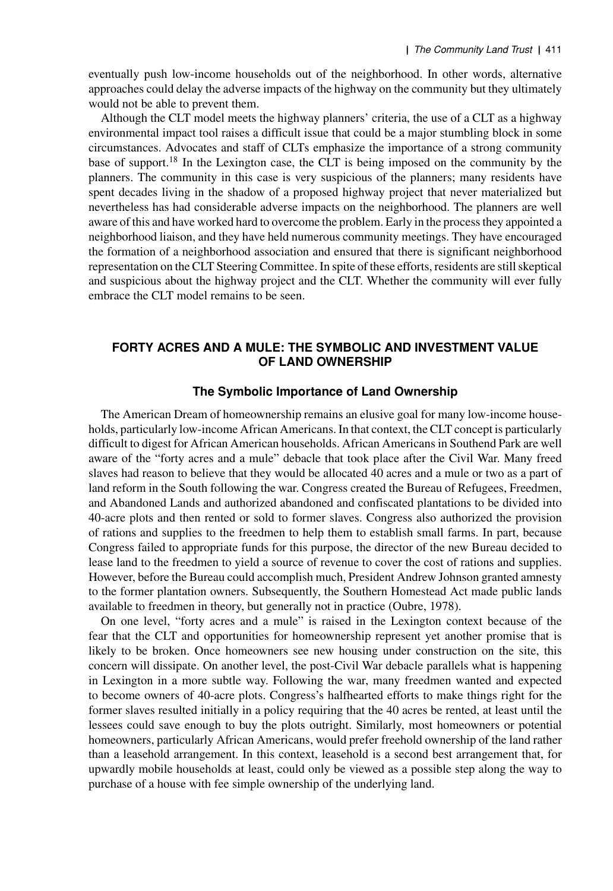eventually push low-income households out of the neighborhood. In other words, alternative approaches could delay the adverse impacts of the highway on the community but they ultimately would not be able to prevent them.

Although the CLT model meets the highway planners' criteria, the use of a CLT as a highway environmental impact tool raises a difficult issue that could be a major stumbling block in some circumstances. Advocates and staff of CLTs emphasize the importance of a strong community base of support.<sup>18</sup> In the Lexington case, the CLT is being imposed on the community by the planners. The community in this case is very suspicious of the planners; many residents have spent decades living in the shadow of a proposed highway project that never materialized but nevertheless has had considerable adverse impacts on the neighborhood. The planners are well aware of this and have worked hard to overcome the problem. Early in the process they appointed a neighborhood liaison, and they have held numerous community meetings. They have encouraged the formation of a neighborhood association and ensured that there is significant neighborhood representation on the CLT Steering Committee. In spite of these efforts, residents are still skeptical and suspicious about the highway project and the CLT. Whether the community will ever fully embrace the CLT model remains to be seen.

## **FORTY ACRES AND A MULE: THE SYMBOLIC AND INVESTMENT VALUE OF LAND OWNERSHIP**

#### **The Symbolic Importance of Land Ownership**

The American Dream of homeownership remains an elusive goal for many low-income households, particularly low-income African Americans. In that context, the CLT concept is particularly difficult to digest for African American households. African Americans in Southend Park are well aware of the "forty acres and a mule" debacle that took place after the Civil War. Many freed slaves had reason to believe that they would be allocated 40 acres and a mule or two as a part of land reform in the South following the war. Congress created the Bureau of Refugees, Freedmen, and Abandoned Lands and authorized abandoned and confiscated plantations to be divided into 40-acre plots and then rented or sold to former slaves. Congress also authorized the provision of rations and supplies to the freedmen to help them to establish small farms. In part, because Congress failed to appropriate funds for this purpose, the director of the new Bureau decided to lease land to the freedmen to yield a source of revenue to cover the cost of rations and supplies. However, before the Bureau could accomplish much, President Andrew Johnson granted amnesty to the former plantation owners. Subsequently, the Southern Homestead Act made public lands available to freedmen in theory, but generally not in practice (Oubre, 1978).

On one level, "forty acres and a mule" is raised in the Lexington context because of the fear that the CLT and opportunities for homeownership represent yet another promise that is likely to be broken. Once homeowners see new housing under construction on the site, this concern will dissipate. On another level, the post-Civil War debacle parallels what is happening in Lexington in a more subtle way. Following the war, many freedmen wanted and expected to become owners of 40-acre plots. Congress's halfhearted efforts to make things right for the former slaves resulted initially in a policy requiring that the 40 acres be rented, at least until the lessees could save enough to buy the plots outright. Similarly, most homeowners or potential homeowners, particularly African Americans, would prefer freehold ownership of the land rather than a leasehold arrangement. In this context, leasehold is a second best arrangement that, for upwardly mobile households at least, could only be viewed as a possible step along the way to purchase of a house with fee simple ownership of the underlying land.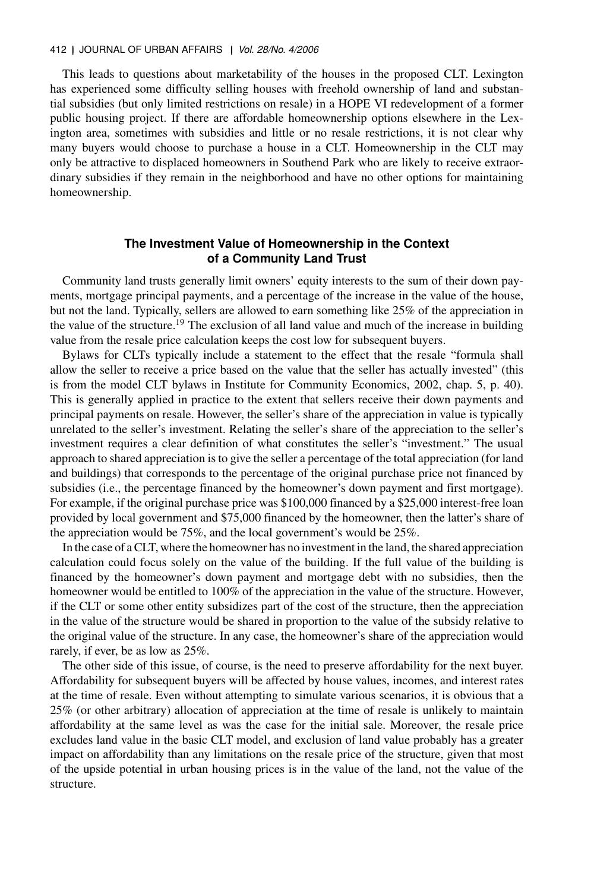This leads to questions about marketability of the houses in the proposed CLT. Lexington has experienced some difficulty selling houses with freehold ownership of land and substantial subsidies (but only limited restrictions on resale) in a HOPE VI redevelopment of a former public housing project. If there are affordable homeownership options elsewhere in the Lexington area, sometimes with subsidies and little or no resale restrictions, it is not clear why many buyers would choose to purchase a house in a CLT. Homeownership in the CLT may only be attractive to displaced homeowners in Southend Park who are likely to receive extraordinary subsidies if they remain in the neighborhood and have no other options for maintaining homeownership.

## **The Investment Value of Homeownership in the Context of a Community Land Trust**

Community land trusts generally limit owners' equity interests to the sum of their down payments, mortgage principal payments, and a percentage of the increase in the value of the house, but not the land. Typically, sellers are allowed to earn something like 25% of the appreciation in the value of the structure.<sup>19</sup> The exclusion of all land value and much of the increase in building value from the resale price calculation keeps the cost low for subsequent buyers.

Bylaws for CLTs typically include a statement to the effect that the resale "formula shall allow the seller to receive a price based on the value that the seller has actually invested" (this is from the model CLT bylaws in Institute for Community Economics, 2002, chap. 5, p. 40). This is generally applied in practice to the extent that sellers receive their down payments and principal payments on resale. However, the seller's share of the appreciation in value is typically unrelated to the seller's investment. Relating the seller's share of the appreciation to the seller's investment requires a clear definition of what constitutes the seller's "investment." The usual approach to shared appreciation is to give the seller a percentage of the total appreciation (for land and buildings) that corresponds to the percentage of the original purchase price not financed by subsidies (i.e., the percentage financed by the homeowner's down payment and first mortgage). For example, if the original purchase price was \$100,000 financed by a \$25,000 interest-free loan provided by local government and \$75,000 financed by the homeowner, then the latter's share of the appreciation would be 75%, and the local government's would be 25%.

In the case of a CLT, where the homeowner has no investment in the land, the shared appreciation calculation could focus solely on the value of the building. If the full value of the building is financed by the homeowner's down payment and mortgage debt with no subsidies, then the homeowner would be entitled to 100% of the appreciation in the value of the structure. However, if the CLT or some other entity subsidizes part of the cost of the structure, then the appreciation in the value of the structure would be shared in proportion to the value of the subsidy relative to the original value of the structure. In any case, the homeowner's share of the appreciation would rarely, if ever, be as low as 25%.

The other side of this issue, of course, is the need to preserve affordability for the next buyer. Affordability for subsequent buyers will be affected by house values, incomes, and interest rates at the time of resale. Even without attempting to simulate various scenarios, it is obvious that a 25% (or other arbitrary) allocation of appreciation at the time of resale is unlikely to maintain affordability at the same level as was the case for the initial sale. Moreover, the resale price excludes land value in the basic CLT model, and exclusion of land value probably has a greater impact on affordability than any limitations on the resale price of the structure, given that most of the upside potential in urban housing prices is in the value of the land, not the value of the structure.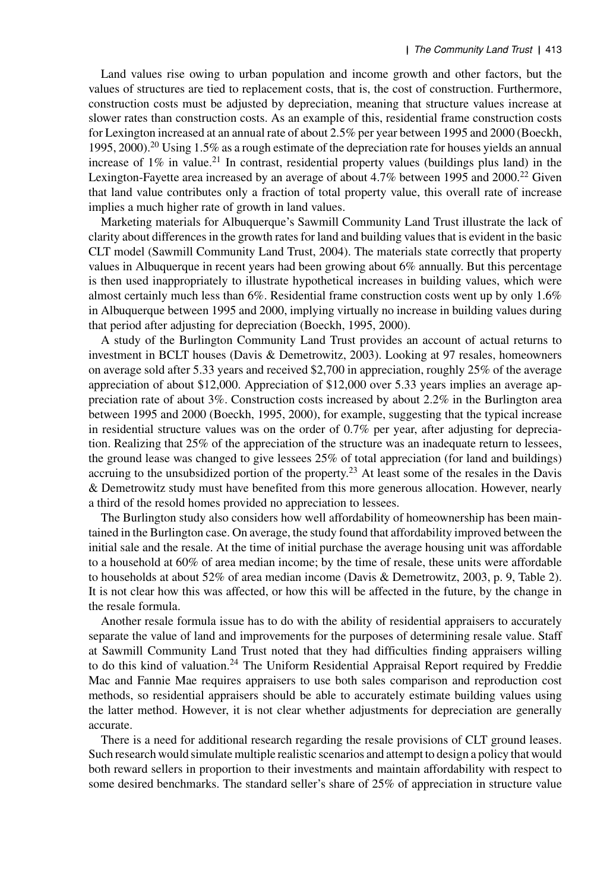Land values rise owing to urban population and income growth and other factors, but the values of structures are tied to replacement costs, that is, the cost of construction. Furthermore, construction costs must be adjusted by depreciation, meaning that structure values increase at slower rates than construction costs. As an example of this, residential frame construction costs for Lexington increased at an annual rate of about 2.5% per year between 1995 and 2000 (Boeckh, 1995, 2000).<sup>20</sup> Using 1.5% as a rough estimate of the depreciation rate for houses yields an annual increase of  $1\%$  in value.<sup>21</sup> In contrast, residential property values (buildings plus land) in the Lexington-Fayette area increased by an average of about 4.7% between 1995 and 2000.<sup>22</sup> Given that land value contributes only a fraction of total property value, this overall rate of increase implies a much higher rate of growth in land values.

Marketing materials for Albuquerque's Sawmill Community Land Trust illustrate the lack of clarity about differences in the growth rates for land and building values that is evident in the basic CLT model (Sawmill Community Land Trust, 2004). The materials state correctly that property values in Albuquerque in recent years had been growing about 6% annually. But this percentage is then used inappropriately to illustrate hypothetical increases in building values, which were almost certainly much less than 6%. Residential frame construction costs went up by only 1.6% in Albuquerque between 1995 and 2000, implying virtually no increase in building values during that period after adjusting for depreciation (Boeckh, 1995, 2000).

A study of the Burlington Community Land Trust provides an account of actual returns to investment in BCLT houses (Davis & Demetrowitz, 2003). Looking at 97 resales, homeowners on average sold after 5.33 years and received \$2,700 in appreciation, roughly 25% of the average appreciation of about \$12,000. Appreciation of \$12,000 over 5.33 years implies an average appreciation rate of about 3%. Construction costs increased by about 2.2% in the Burlington area between 1995 and 2000 (Boeckh, 1995, 2000), for example, suggesting that the typical increase in residential structure values was on the order of 0.7% per year, after adjusting for depreciation. Realizing that 25% of the appreciation of the structure was an inadequate return to lessees, the ground lease was changed to give lessees 25% of total appreciation (for land and buildings) accruing to the unsubsidized portion of the property.23 At least some of the resales in the Davis & Demetrowitz study must have benefited from this more generous allocation. However, nearly a third of the resold homes provided no appreciation to lessees.

The Burlington study also considers how well affordability of homeownership has been maintained in the Burlington case. On average, the study found that affordability improved between the initial sale and the resale. At the time of initial purchase the average housing unit was affordable to a household at 60% of area median income; by the time of resale, these units were affordable to households at about 52% of area median income (Davis & Demetrowitz, 2003, p. 9, Table 2). It is not clear how this was affected, or how this will be affected in the future, by the change in the resale formula.

Another resale formula issue has to do with the ability of residential appraisers to accurately separate the value of land and improvements for the purposes of determining resale value. Staff at Sawmill Community Land Trust noted that they had difficulties finding appraisers willing to do this kind of valuation.<sup>24</sup> The Uniform Residential Appraisal Report required by Freddie Mac and Fannie Mae requires appraisers to use both sales comparison and reproduction cost methods, so residential appraisers should be able to accurately estimate building values using the latter method. However, it is not clear whether adjustments for depreciation are generally accurate.

There is a need for additional research regarding the resale provisions of CLT ground leases. Such research would simulate multiple realistic scenarios and attempt to design a policy that would both reward sellers in proportion to their investments and maintain affordability with respect to some desired benchmarks. The standard seller's share of 25% of appreciation in structure value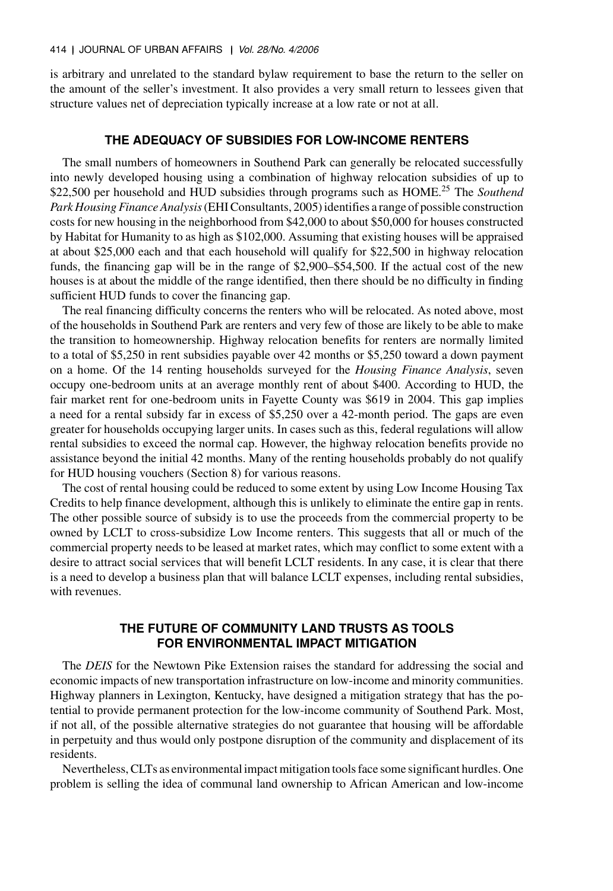is arbitrary and unrelated to the standard bylaw requirement to base the return to the seller on the amount of the seller's investment. It also provides a very small return to lessees given that structure values net of depreciation typically increase at a low rate or not at all.

#### **THE ADEQUACY OF SUBSIDIES FOR LOW-INCOME RENTERS**

The small numbers of homeowners in Southend Park can generally be relocated successfully into newly developed housing using a combination of highway relocation subsidies of up to \$22,500 per household and HUD subsidies through programs such as HOME.<sup>25</sup> The *Southend Park Housing Finance Analysis*(EHI Consultants, 2005) identifies a range of possible construction costs for new housing in the neighborhood from \$42,000 to about \$50,000 for houses constructed by Habitat for Humanity to as high as \$102,000. Assuming that existing houses will be appraised at about \$25,000 each and that each household will qualify for \$22,500 in highway relocation funds, the financing gap will be in the range of \$2,900–\$54,500. If the actual cost of the new houses is at about the middle of the range identified, then there should be no difficulty in finding sufficient HUD funds to cover the financing gap.

The real financing difficulty concerns the renters who will be relocated. As noted above, most of the households in Southend Park are renters and very few of those are likely to be able to make the transition to homeownership. Highway relocation benefits for renters are normally limited to a total of \$5,250 in rent subsidies payable over 42 months or \$5,250 toward a down payment on a home. Of the 14 renting households surveyed for the *Housing Finance Analysis*, seven occupy one-bedroom units at an average monthly rent of about \$400. According to HUD, the fair market rent for one-bedroom units in Fayette County was \$619 in 2004. This gap implies a need for a rental subsidy far in excess of \$5,250 over a 42-month period. The gaps are even greater for households occupying larger units. In cases such as this, federal regulations will allow rental subsidies to exceed the normal cap. However, the highway relocation benefits provide no assistance beyond the initial 42 months. Many of the renting households probably do not qualify for HUD housing vouchers (Section 8) for various reasons.

The cost of rental housing could be reduced to some extent by using Low Income Housing Tax Credits to help finance development, although this is unlikely to eliminate the entire gap in rents. The other possible source of subsidy is to use the proceeds from the commercial property to be owned by LCLT to cross-subsidize Low Income renters. This suggests that all or much of the commercial property needs to be leased at market rates, which may conflict to some extent with a desire to attract social services that will benefit LCLT residents. In any case, it is clear that there is a need to develop a business plan that will balance LCLT expenses, including rental subsidies, with revenues.

## **THE FUTURE OF COMMUNITY LAND TRUSTS AS TOOLS FOR ENVIRONMENTAL IMPACT MITIGATION**

The *DEIS* for the Newtown Pike Extension raises the standard for addressing the social and economic impacts of new transportation infrastructure on low-income and minority communities. Highway planners in Lexington, Kentucky, have designed a mitigation strategy that has the potential to provide permanent protection for the low-income community of Southend Park. Most, if not all, of the possible alternative strategies do not guarantee that housing will be affordable in perpetuity and thus would only postpone disruption of the community and displacement of its residents.

Nevertheless, CLTs as environmental impact mitigation tools face some significant hurdles. One problem is selling the idea of communal land ownership to African American and low-income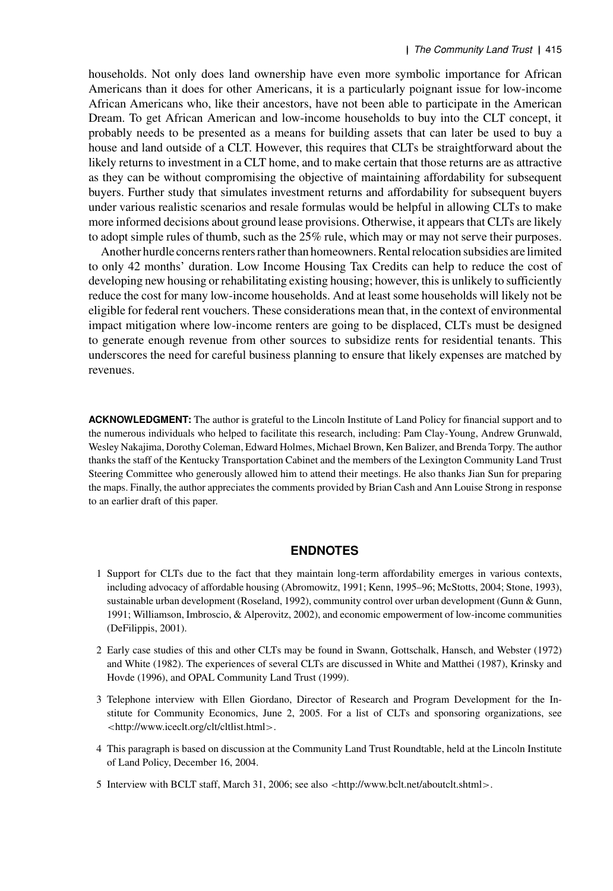households. Not only does land ownership have even more symbolic importance for African Americans than it does for other Americans, it is a particularly poignant issue for low-income African Americans who, like their ancestors, have not been able to participate in the American Dream. To get African American and low-income households to buy into the CLT concept, it probably needs to be presented as a means for building assets that can later be used to buy a house and land outside of a CLT. However, this requires that CLTs be straightforward about the likely returns to investment in a CLT home, and to make certain that those returns are as attractive as they can be without compromising the objective of maintaining affordability for subsequent buyers. Further study that simulates investment returns and affordability for subsequent buyers under various realistic scenarios and resale formulas would be helpful in allowing CLTs to make more informed decisions about ground lease provisions. Otherwise, it appears that CLTs are likely to adopt simple rules of thumb, such as the 25% rule, which may or may not serve their purposes.

Another hurdle concerns renters rather than homeowners. Rental relocation subsidies are limited to only 42 months' duration. Low Income Housing Tax Credits can help to reduce the cost of developing new housing or rehabilitating existing housing; however, this is unlikely to sufficiently reduce the cost for many low-income households. And at least some households will likely not be eligible for federal rent vouchers. These considerations mean that, in the context of environmental impact mitigation where low-income renters are going to be displaced, CLTs must be designed to generate enough revenue from other sources to subsidize rents for residential tenants. This underscores the need for careful business planning to ensure that likely expenses are matched by revenues.

**ACKNOWLEDGMENT:** The author is grateful to the Lincoln Institute of Land Policy for financial support and to the numerous individuals who helped to facilitate this research, including: Pam Clay-Young, Andrew Grunwald, Wesley Nakajima, Dorothy Coleman, Edward Holmes, Michael Brown, Ken Balizer, and Brenda Torpy. The author thanks the staff of the Kentucky Transportation Cabinet and the members of the Lexington Community Land Trust Steering Committee who generously allowed him to attend their meetings. He also thanks Jian Sun for preparing the maps. Finally, the author appreciates the comments provided by Brian Cash and Ann Louise Strong in response to an earlier draft of this paper.

#### **ENDNOTES**

- 1 Support for CLTs due to the fact that they maintain long-term affordability emerges in various contexts, including advocacy of affordable housing (Abromowitz, 1991; Kenn, 1995–96; McStotts, 2004; Stone, 1993), sustainable urban development (Roseland, 1992), community control over urban development (Gunn & Gunn, 1991; Williamson, Imbroscio, & Alperovitz, 2002), and economic empowerment of low-income communities (DeFilippis, 2001).
- 2 Early case studies of this and other CLTs may be found in Swann, Gottschalk, Hansch, and Webster (1972) and White (1982). The experiences of several CLTs are discussed in White and Matthei (1987), Krinsky and Hovde (1996), and OPAL Community Land Trust (1999).
- 3 Telephone interview with Ellen Giordano, Director of Research and Program Development for the Institute for Community Economics, June 2, 2005. For a list of CLTs and sponsoring organizations, see <http://www.iceclt.org/clt/cltlist.html>.
- 4 This paragraph is based on discussion at the Community Land Trust Roundtable, held at the Lincoln Institute of Land Policy, December 16, 2004.
- 5 Interview with BCLT staff, March 31, 2006; see also <http://www.bclt.net/aboutclt.shtml>.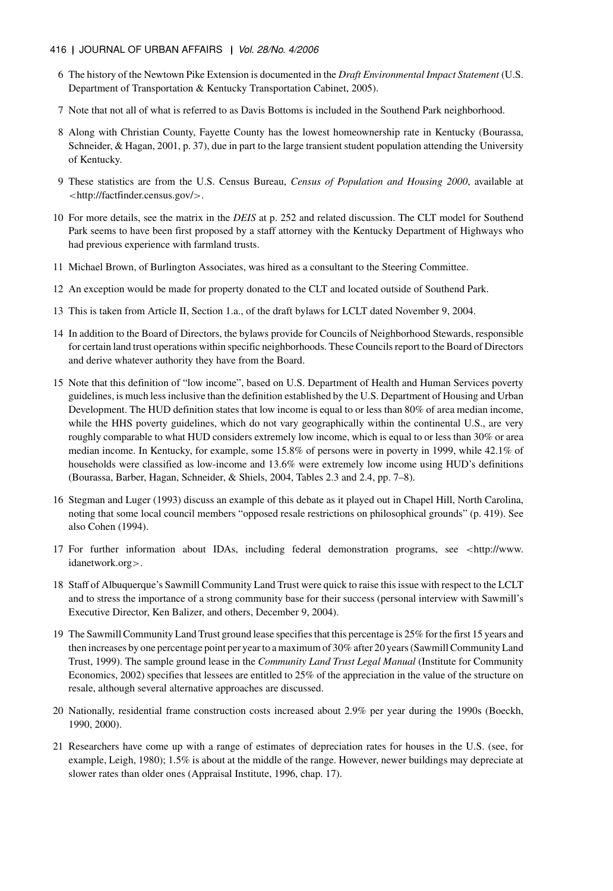- 6 The history of the Newtown Pike Extension is documented in the *Draft Environmental Impact Statement* (U.S. Department of Transportation & Kentucky Transportation Cabinet, 2005).
- 7 Note that not all of what is referred to as Davis Bottoms is included in the Southend Park neighborhood.
- 8 Along with Christian County, Fayette County has the lowest homeownership rate in Kentucky (Bourassa, Schneider, & Hagan, 2001, p. 37), due in part to the large transient student population attending the University of Kentucky.
- 9 These statistics are from the U.S. Census Bureau, *Census of Population and Housing 2000*, available at <http://factfinder.census.gov/>.
- 10 For more details, see the matrix in the *DEIS* at p. 252 and related discussion. The CLT model for Southend Park seems to have been first proposed by a staff attorney with the Kentucky Department of Highways who had previous experience with farmland trusts.
- 11 Michael Brown, of Burlington Associates, was hired as a consultant to the Steering Committee.
- 12 An exception would be made for property donated to the CLT and located outside of Southend Park.
- 13 This is taken from Article II, Section 1.a., of the draft bylaws for LCLT dated November 9, 2004.
- 14 In addition to the Board of Directors, the bylaws provide for Councils of Neighborhood Stewards, responsible for certain land trust operations within specific neighborhoods. These Councils report to the Board of Directors and derive whatever authority they have from the Board.
- 15 Note that this definition of "low income", based on U.S. Department of Health and Human Services poverty guidelines, is much less inclusive than the definition established by the U.S. Department of Housing and Urban Development. The HUD definition states that low income is equal to or less than 80% of area median income, while the HHS poverty guidelines, which do not vary geographically within the continental U.S., are very roughly comparable to what HUD considers extremely low income, which is equal to or less than 30% or area median income. In Kentucky, for example, some 15.8% of persons were in poverty in 1999, while 42.1% of households were classified as low-income and 13.6% were extremely low income using HUD's definitions (Bourassa, Barber, Hagan, Schneider, & Shiels, 2004, Tables 2.3 and 2.4, pp. 7–8).
- 16 Stegman and Luger (1993) discuss an example of this debate as it played out in Chapel Hill, North Carolina, noting that some local council members "opposed resale restrictions on philosophical grounds" (p. 419). See also Cohen (1994).
- 17 For further information about IDAs, including federal demonstration programs, see <http://www. idanetwork.org>.
- 18 Staff of Albuquerque's Sawmill Community Land Trust were quick to raise this issue with respect to the LCLT and to stress the importance of a strong community base for their success (personal interview with Sawmill's Executive Director, Ken Balizer, and others, December 9, 2004).
- 19 The Sawmill Community Land Trust ground lease specifies that this percentage is 25% for the first 15 years and then increases by one percentage point per year to a maximum of 30% after 20 years (Sawmill Community Land Trust, 1999). The sample ground lease in the *Community Land Trust Legal Manual* (Institute for Community Economics, 2002) specifies that lessees are entitled to 25% of the appreciation in the value of the structure on resale, although several alternative approaches are discussed.
- 20 Nationally, residential frame construction costs increased about 2.9% per year during the 1990s (Boeckh, 1990, 2000).
- 21 Researchers have come up with a range of estimates of depreciation rates for houses in the U.S. (see, for example, Leigh, 1980); 1.5% is about at the middle of the range. However, newer buildings may depreciate at slower rates than older ones (Appraisal Institute, 1996, chap. 17).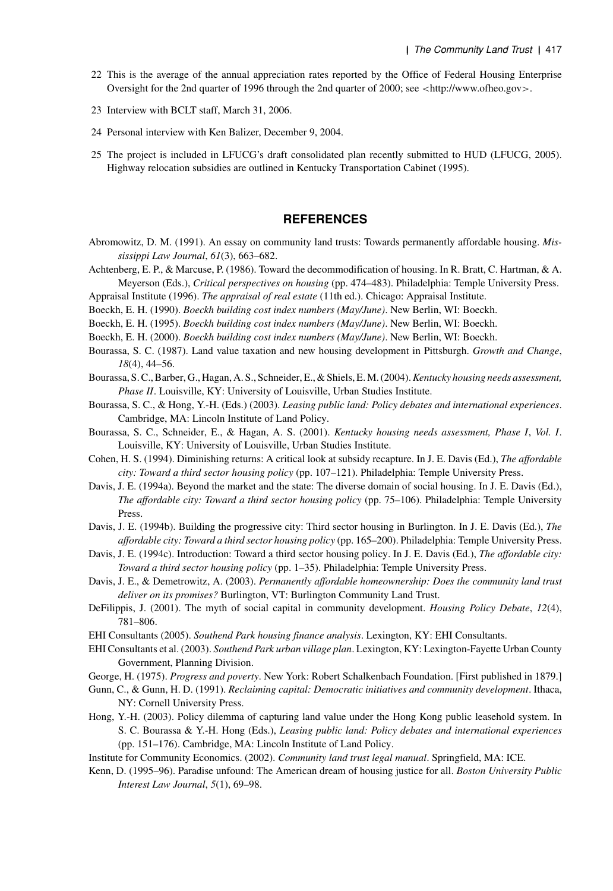- 22 This is the average of the annual appreciation rates reported by the Office of Federal Housing Enterprise Oversight for the 2nd quarter of 1996 through the 2nd quarter of 2000; see <http://www.ofheo.gov>.
- 23 Interview with BCLT staff, March 31, 2006.
- 24 Personal interview with Ken Balizer, December 9, 2004.
- 25 The project is included in LFUCG's draft consolidated plan recently submitted to HUD (LFUCG, 2005). Highway relocation subsidies are outlined in Kentucky Transportation Cabinet (1995).

## **REFERENCES**

- Abromowitz, D. M. (1991). An essay on community land trusts: Towards permanently affordable housing. *Mississippi Law Journal*, *61*(3), 663–682.
- Achtenberg, E. P., & Marcuse, P. (1986). Toward the decommodification of housing. In R. Bratt, C. Hartman, & A. Meyerson (Eds.), *Critical perspectives on housing* (pp. 474–483). Philadelphia: Temple University Press.
- Appraisal Institute (1996). *The appraisal of real estate* (11th ed.). Chicago: Appraisal Institute.
- Boeckh, E. H. (1990). *Boeckh building cost index numbers (May/June)*. New Berlin, WI: Boeckh.
- Boeckh, E. H. (1995). *Boeckh building cost index numbers (May/June)*. New Berlin, WI: Boeckh.
- Boeckh, E. H. (2000). *Boeckh building cost index numbers (May/June)*. New Berlin, WI: Boeckh.
- Bourassa, S. C. (1987). Land value taxation and new housing development in Pittsburgh. *Growth and Change*, *18*(4), 44–56.
- Bourassa, S. C., Barber, G., Hagan, A. S., Schneider, E., & Shiels, E. M. (2004).*Kentucky housing needs assessment, Phase II*. Louisville, KY: University of Louisville, Urban Studies Institute.
- Bourassa, S. C., & Hong, Y.-H. (Eds.) (2003). *Leasing public land: Policy debates and international experiences*. Cambridge, MA: Lincoln Institute of Land Policy.
- Bourassa, S. C., Schneider, E., & Hagan, A. S. (2001). *Kentucky housing needs assessment, Phase I*, *Vol. I*. Louisville, KY: University of Louisville, Urban Studies Institute.
- Cohen, H. S. (1994). Diminishing returns: A critical look at subsidy recapture. In J. E. Davis (Ed.), *The affordable city: Toward a third sector housing policy* (pp. 107–121). Philadelphia: Temple University Press.
- Davis, J. E. (1994a). Beyond the market and the state: The diverse domain of social housing. In J. E. Davis (Ed.), *The affordable city: Toward a third sector housing policy* (pp. 75–106). Philadelphia: Temple University Press.
- Davis, J. E. (1994b). Building the progressive city: Third sector housing in Burlington. In J. E. Davis (Ed.), *The affordable city: Toward a third sector housing policy* (pp. 165–200). Philadelphia: Temple University Press.
- Davis, J. E. (1994c). Introduction: Toward a third sector housing policy. In J. E. Davis (Ed.), *The affordable city: Toward a third sector housing policy* (pp. 1–35). Philadelphia: Temple University Press.
- Davis, J. E., & Demetrowitz, A. (2003). *Permanently affordable homeownership: Does the community land trust deliver on its promises?* Burlington, VT: Burlington Community Land Trust.
- DeFilippis, J. (2001). The myth of social capital in community development. *Housing Policy Debate*, *12*(4), 781–806.
- EHI Consultants (2005). *Southend Park housing finance analysis*. Lexington, KY: EHI Consultants.
- EHI Consultants et al. (2003). *Southend Park urban village plan*. Lexington, KY: Lexington-Fayette Urban County Government, Planning Division.
- George, H. (1975). *Progress and poverty*. New York: Robert Schalkenbach Foundation. [First published in 1879.]
- Gunn, C., & Gunn, H. D. (1991). *Reclaiming capital: Democratic initiatives and community development*. Ithaca, NY: Cornell University Press.
- Hong, Y.-H. (2003). Policy dilemma of capturing land value under the Hong Kong public leasehold system. In S. C. Bourassa & Y.-H. Hong (Eds.), *Leasing public land: Policy debates and international experiences* (pp. 151–176). Cambridge, MA: Lincoln Institute of Land Policy.
- Institute for Community Economics. (2002). *Community land trust legal manual*. Springfield, MA: ICE.
- Kenn, D. (1995–96). Paradise unfound: The American dream of housing justice for all. *Boston University Public Interest Law Journal*, *5*(1), 69–98.